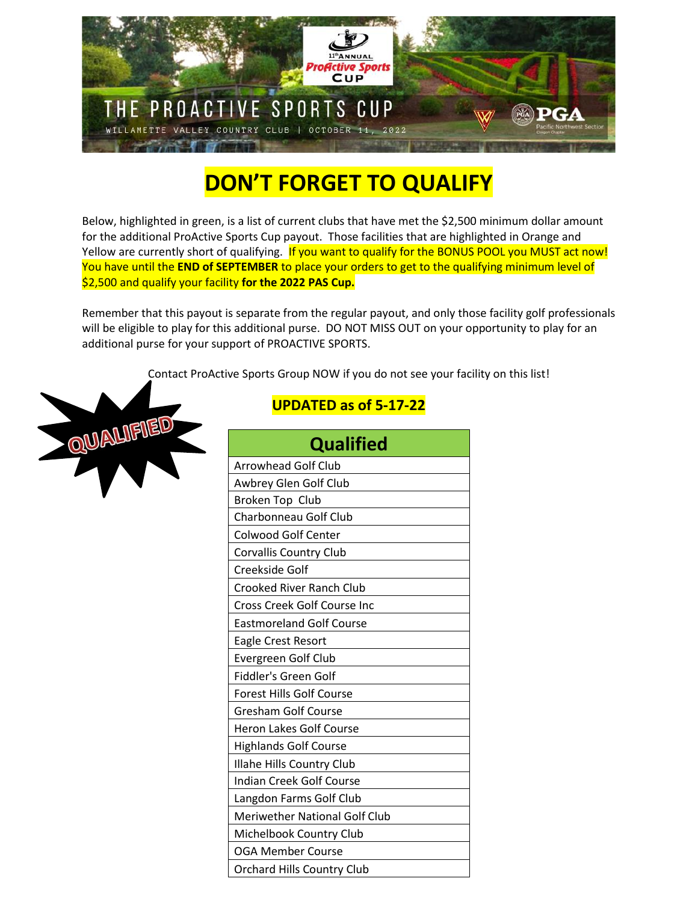

## **DON'T FORGET TO QUALIFY**

Below, highlighted in green, is a list of current clubs that have met the \$2,500 minimum dollar amount for the additional ProActive Sports Cup payout. Those facilities that are highlighted in Orange and Yellow are currently short of qualifying. If you want to qualify for the BONUS POOL you MUST act now! You have until the **END of SEPTEMBER** to place your orders to get to the qualifying minimum level of \$2,500 and qualify your facility **for the 2022 PAS Cup.**

Remember that this payout is separate from the regular payout, and only those facility golf professionals will be eligible to play for this additional purse. DO NOT MISS OUT on your opportunity to play for an additional purse for your support of PROACTIVE SPORTS.

Contact ProActive Sports Group NOW if you do not see your facility on this list!



## **UPDATED as of 5-17-22**

| <b>Qualified</b>                     |
|--------------------------------------|
| <b>Arrowhead Golf Club</b>           |
| Awbrey Glen Golf Club                |
| Broken Top Club                      |
| Charbonneau Golf Club                |
| <b>Colwood Golf Center</b>           |
| <b>Corvallis Country Club</b>        |
| Creekside Golf                       |
| <b>Crooked River Ranch Club</b>      |
| <b>Cross Creek Golf Course Inc</b>   |
| <b>Eastmoreland Golf Course</b>      |
| <b>Eagle Crest Resort</b>            |
| Evergreen Golf Club                  |
| Fiddler's Green Golf                 |
| <b>Forest Hills Golf Course</b>      |
| <b>Gresham Golf Course</b>           |
| <b>Heron Lakes Golf Course</b>       |
| <b>Highlands Golf Course</b>         |
| Illahe Hills Country Club            |
| <b>Indian Creek Golf Course</b>      |
| Langdon Farms Golf Club              |
| <b>Meriwether National Golf Club</b> |
| Michelbook Country Club              |
| <b>OGA Member Course</b>             |
| <b>Orchard Hills Country Club</b>    |
|                                      |